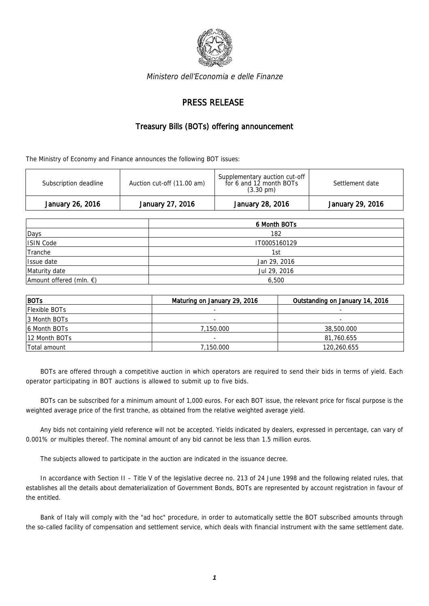

Ministero dell'Economia e delle Finanze

## PRESS RELEASE

## Treasury Bills (BOTs) offering announcement

The Ministry of Economy and Finance announces the following BOT issues:

| January 26, 2016      | January 27, 2016           | January 28, 2016                                                                | January 29, 2016 |
|-----------------------|----------------------------|---------------------------------------------------------------------------------|------------------|
| Subscription deadline | Auction cut-off (11.00 am) | Supplementary auction cut-off<br>for 6 and 12 month BOTs<br>$(3.30 \text{ pm})$ | Settlement date  |

|                                   | 6 Month BOTs |  |  |
|-----------------------------------|--------------|--|--|
| Days                              | 182          |  |  |
| ISIN Code                         | IT0005160129 |  |  |
| Tranche                           | 1st          |  |  |
| Issue date                        | Jan 29, 2016 |  |  |
| Maturity date                     | Jul 29, 2016 |  |  |
| Amount offered (mln. $\epsilon$ ) | 6,500        |  |  |

| BOTs          | Maturing on January 29, 2016 | Outstanding on January 14, 2016 |  |
|---------------|------------------------------|---------------------------------|--|
| Flexible BOTs |                              |                                 |  |
| 3 Month BOTs  |                              |                                 |  |
| 16 Month BOTs | 7.150.000                    | 38,500.000                      |  |
| 12 Month BOTs | ÷                            | 81,760.655                      |  |
| Total amount  | 7,150.000                    | 120,260.655                     |  |

BOTs are offered through a competitive auction in which operators are required to send their bids in terms of yield. Each operator participating in BOT auctions is allowed to submit up to five bids.

BOTs can be subscribed for a minimum amount of 1,000 euros. For each BOT issue, the relevant price for fiscal purpose is the weighted average price of the first tranche, as obtained from the relative weighted average yield.

Any bids not containing yield reference will not be accepted. Yields indicated by dealers, expressed in percentage, can vary of 0.001% or multiples thereof. The nominal amount of any bid cannot be less than 1.5 million euros.

The subjects allowed to participate in the auction are indicated in the issuance decree.

In accordance with Section II – Title V of the legislative decree no. 213 of 24 June 1998 and the following related rules, that establishes all the details about dematerialization of Government Bonds, BOTs are represented by account registration in favour of the entitled.

Bank of Italy will comply with the "ad hoc" procedure, in order to automatically settle the BOT subscribed amounts through the so-called facility of compensation and settlement service, which deals with financial instrument with the same settlement date.